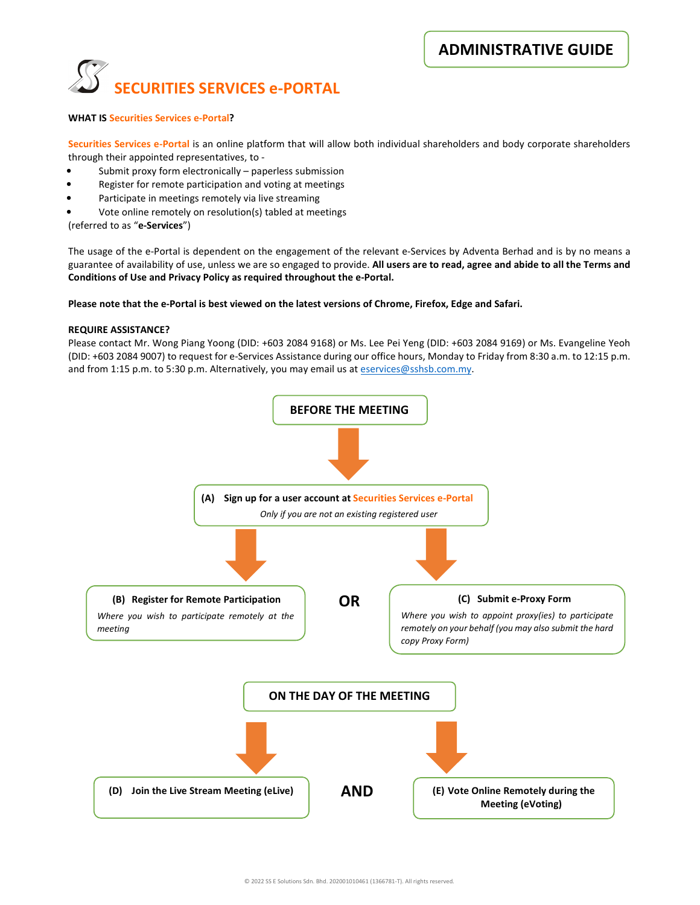ADMINISTRATIVE GUIDE



### WHAT IS Securities Services e-Portal?

Securities Services e-Portal is an online platform that will allow both individual shareholders and body corporate shareholders through their appointed representatives, to -

- Submit proxy form electronically paperless submission
- Register for remote participation and voting at meetings
- Participate in meetings remotely via live streaming
- Vote online remotely on resolution(s) tabled at meetings

(referred to as "e-Services")

The usage of the e-Portal is dependent on the engagement of the relevant e-Services by Adventa Berhad and is by no means a guarantee of availability of use, unless we are so engaged to provide. All users are to read, agree and abide to all the Terms and Conditions of Use and Privacy Policy as required throughout the e-Portal.

#### Please note that the e-Portal is best viewed on the latest versions of Chrome, Firefox, Edge and Safari.

### REQUIRE ASSISTANCE?

Please contact Mr. Wong Piang Yoong (DID: +603 2084 9168) or Ms. Lee Pei Yeng (DID: +603 2084 9169) or Ms. Evangeline Yeoh (DID: +603 2084 9007) to request for e-Services Assistance during our office hours, Monday to Friday from 8:30 a.m. to 12:15 p.m. and from 1:15 p.m. to 5:30 p.m. Alternatively, you may email us at eservices@sshsb.com.my.

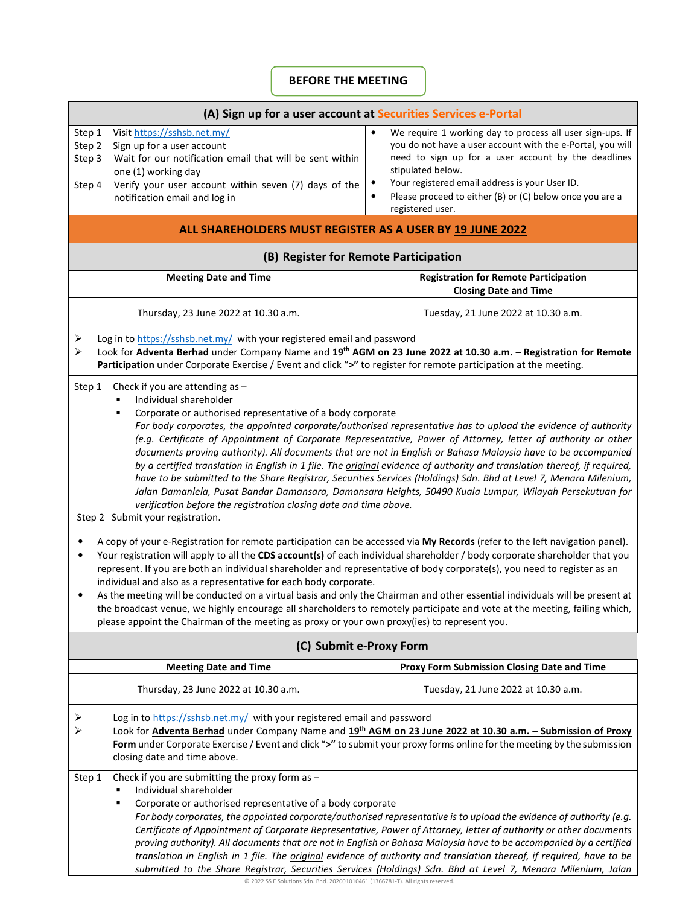# BEFORE THE MEETING

| (A) Sign up for a user account at Securities Services e-Portal                                                                                                                                                                                                                                                                                                                                                                                                                                                                                                                                                                                                                                                                                                                                                                                                                                                                                                       |                                                                                                                                                                                                                                                                                                                                                   |                                                                                                                                                                                                                                                                                                                                                                                                                                                                                                                                                                                                                |  |
|----------------------------------------------------------------------------------------------------------------------------------------------------------------------------------------------------------------------------------------------------------------------------------------------------------------------------------------------------------------------------------------------------------------------------------------------------------------------------------------------------------------------------------------------------------------------------------------------------------------------------------------------------------------------------------------------------------------------------------------------------------------------------------------------------------------------------------------------------------------------------------------------------------------------------------------------------------------------|---------------------------------------------------------------------------------------------------------------------------------------------------------------------------------------------------------------------------------------------------------------------------------------------------------------------------------------------------|----------------------------------------------------------------------------------------------------------------------------------------------------------------------------------------------------------------------------------------------------------------------------------------------------------------------------------------------------------------------------------------------------------------------------------------------------------------------------------------------------------------------------------------------------------------------------------------------------------------|--|
| Step 1<br>Step 2<br>Step 3<br>Step 4                                                                                                                                                                                                                                                                                                                                                                                                                                                                                                                                                                                                                                                                                                                                                                                                                                                                                                                                 | Visit https://sshsb.net.my/<br>Sign up for a user account<br>Wait for our notification email that will be sent within<br>one (1) working day<br>Verify your user account within seven (7) days of the<br>notification email and log in                                                                                                            | We require 1 working day to process all user sign-ups. If<br>$\bullet$<br>you do not have a user account with the e-Portal, you will<br>need to sign up for a user account by the deadlines<br>stipulated below.<br>Your registered email address is your User ID.<br>$\bullet$<br>Please proceed to either (B) or (C) below once you are a<br>$\bullet$<br>registered user.                                                                                                                                                                                                                                   |  |
| ALL SHAREHOLDERS MUST REGISTER AS A USER BY 19 JUNE 2022                                                                                                                                                                                                                                                                                                                                                                                                                                                                                                                                                                                                                                                                                                                                                                                                                                                                                                             |                                                                                                                                                                                                                                                                                                                                                   |                                                                                                                                                                                                                                                                                                                                                                                                                                                                                                                                                                                                                |  |
| (B) Register for Remote Participation                                                                                                                                                                                                                                                                                                                                                                                                                                                                                                                                                                                                                                                                                                                                                                                                                                                                                                                                |                                                                                                                                                                                                                                                                                                                                                   |                                                                                                                                                                                                                                                                                                                                                                                                                                                                                                                                                                                                                |  |
|                                                                                                                                                                                                                                                                                                                                                                                                                                                                                                                                                                                                                                                                                                                                                                                                                                                                                                                                                                      | <b>Meeting Date and Time</b>                                                                                                                                                                                                                                                                                                                      | <b>Registration for Remote Participation</b><br><b>Closing Date and Time</b>                                                                                                                                                                                                                                                                                                                                                                                                                                                                                                                                   |  |
|                                                                                                                                                                                                                                                                                                                                                                                                                                                                                                                                                                                                                                                                                                                                                                                                                                                                                                                                                                      | Thursday, 23 June 2022 at 10.30 a.m.                                                                                                                                                                                                                                                                                                              | Tuesday, 21 June 2022 at 10.30 a.m.                                                                                                                                                                                                                                                                                                                                                                                                                                                                                                                                                                            |  |
| Log in to https://sshsb.net.my/ with your registered email and password<br>⋗<br>Look for <b>Adventa Berhad</b> under Company Name and 19 <sup>th</sup> AGM on 23 June 2022 at 10.30 a.m. - Registration for Remote<br>⋗<br>Participation under Corporate Exercise / Event and click ">" to register for remote participation at the meeting.                                                                                                                                                                                                                                                                                                                                                                                                                                                                                                                                                                                                                         |                                                                                                                                                                                                                                                                                                                                                   |                                                                                                                                                                                                                                                                                                                                                                                                                                                                                                                                                                                                                |  |
| Step 1<br>Check if you are attending as $-$<br>Individual shareholder<br>Corporate or authorised representative of a body corporate<br>For body corporates, the appointed corporate/authorised representative has to upload the evidence of authority<br>(e.g. Certificate of Appointment of Corporate Representative, Power of Attorney, letter of authority or other<br>documents proving authority). All documents that are not in English or Bahasa Malaysia have to be accompanied<br>by a certified translation in English in 1 file. The <i>original</i> evidence of authority and translation thereof, if required,<br>have to be submitted to the Share Registrar, Securities Services (Holdings) Sdn. Bhd at Level 7, Menara Milenium,<br>Jalan Damanlela, Pusat Bandar Damansara, Damansara Heights, 50490 Kuala Lumpur, Wilayah Persekutuan for<br>verification before the registration closing date and time above.<br>Step 2 Submit your registration. |                                                                                                                                                                                                                                                                                                                                                   |                                                                                                                                                                                                                                                                                                                                                                                                                                                                                                                                                                                                                |  |
| A copy of your e-Registration for remote participation can be accessed via My Records (refer to the left navigation panel).<br>Your registration will apply to all the CDS account(s) of each individual shareholder / body corporate shareholder that you<br>represent. If you are both an individual shareholder and representative of body corporate(s), you need to register as an<br>individual and also as a representative for each body corporate.<br>As the meeting will be conducted on a virtual basis and only the Chairman and other essential individuals will be present at<br>the broadcast venue, we highly encourage all shareholders to remotely participate and vote at the meeting, failing which,<br>please appoint the Chairman of the meeting as proxy or your own proxy(ies) to represent you.                                                                                                                                              |                                                                                                                                                                                                                                                                                                                                                   |                                                                                                                                                                                                                                                                                                                                                                                                                                                                                                                                                                                                                |  |
| (C) Submit e-Proxy Form                                                                                                                                                                                                                                                                                                                                                                                                                                                                                                                                                                                                                                                                                                                                                                                                                                                                                                                                              |                                                                                                                                                                                                                                                                                                                                                   |                                                                                                                                                                                                                                                                                                                                                                                                                                                                                                                                                                                                                |  |
|                                                                                                                                                                                                                                                                                                                                                                                                                                                                                                                                                                                                                                                                                                                                                                                                                                                                                                                                                                      | <b>Meeting Date and Time</b>                                                                                                                                                                                                                                                                                                                      | Proxy Form Submission Closing Date and Time                                                                                                                                                                                                                                                                                                                                                                                                                                                                                                                                                                    |  |
|                                                                                                                                                                                                                                                                                                                                                                                                                                                                                                                                                                                                                                                                                                                                                                                                                                                                                                                                                                      | Thursday, 23 June 2022 at 10.30 a.m.                                                                                                                                                                                                                                                                                                              | Tuesday, 21 June 2022 at 10.30 a.m.                                                                                                                                                                                                                                                                                                                                                                                                                                                                                                                                                                            |  |
| ⋗<br>⋗                                                                                                                                                                                                                                                                                                                                                                                                                                                                                                                                                                                                                                                                                                                                                                                                                                                                                                                                                               | Log in to https://sshsb.net.my/ with your registered email and password<br>Look for Adventa Berhad under Company Name and 19th AGM on 23 June 2022 at 10.30 a.m. - Submission of Proxy<br>Form under Corporate Exercise / Event and click ">" to submit your proxy forms online for the meeting by the submission<br>closing date and time above. |                                                                                                                                                                                                                                                                                                                                                                                                                                                                                                                                                                                                                |  |
| Step 1                                                                                                                                                                                                                                                                                                                                                                                                                                                                                                                                                                                                                                                                                                                                                                                                                                                                                                                                                               | Check if you are submitting the proxy form as $-$<br>Individual shareholder<br>Corporate or authorised representative of a body corporate                                                                                                                                                                                                         | For body corporates, the appointed corporate/authorised representative is to upload the evidence of authority (e.g.<br>Certificate of Appointment of Corporate Representative, Power of Attorney, letter of authority or other documents<br>proving authority). All documents that are not in English or Bahasa Malaysia have to be accompanied by a certified<br>translation in English in 1 file. The <i>original</i> evidence of authority and translation thereof, if required, have to be<br>submitted to the Share Registrar, Securities Services (Holdings) Sdn. Bhd at Level 7, Menara Milenium, Jalan |  |